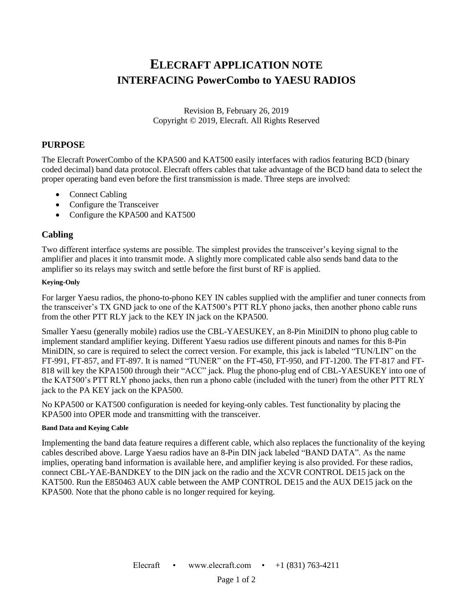# **ELECRAFT APPLICATION NOTE INTERFACING PowerCombo to YAESU RADIOS**

Revision B, February 26, 2019 Copyright © 2019, Elecraft. All Rights Reserved

### **PURPOSE**

The Elecraft PowerCombo of the KPA500 and KAT500 easily interfaces with radios featuring BCD (binary coded decimal) band data protocol. Elecraft offers cables that take advantage of the BCD band data to select the proper operating band even before the first transmission is made. Three steps are involved:

- Connect Cabling
- Configure the Transceiver
- Configure the KPA500 and KAT500

## **Cabling**

Two different interface systems are possible. The simplest provides the transceiver's keying signal to the amplifier and places it into transmit mode. A slightly more complicated cable also sends band data to the amplifier so its relays may switch and settle before the first burst of RF is applied.

#### **Keying-Only**

For larger Yaesu radios, the phono-to-phono KEY IN cables supplied with the amplifier and tuner connects from the transceiver's TX GND jack to one of the KAT500's PTT RLY phono jacks, then another phono cable runs from the other PTT RLY jack to the KEY IN jack on the KPA500.

Smaller Yaesu (generally mobile) radios use the CBL-YAESUKEY, an 8-Pin MiniDIN to phono plug cable to implement standard amplifier keying. Different Yaesu radios use different pinouts and names for this 8-Pin MiniDIN, so care is required to select the correct version. For example, this jack is labeled "TUN/LIN" on the FT-991, FT-857, and FT-897. It is named "TUNER" on the FT-450, FT-950, and FT-1200. The FT-817 and FT-818 will key the KPA1500 through their "ACC" jack. Plug the phono-plug end of CBL-YAESUKEY into one of the KAT500's PTT RLY phono jacks, then run a phono cable (included with the tuner) from the other PTT RLY jack to the PA KEY jack on the KPA500.

No KPA500 or KAT500 configuration is needed for keying-only cables. Test functionality by placing the KPA500 into OPER mode and transmitting with the transceiver.

#### **Band Data and Keying Cable**

Implementing the band data feature requires a different cable, which also replaces the functionality of the keying cables described above. Large Yaesu radios have an 8-Pin DIN jack labeled "BAND DATA". As the name implies, operating band information is available here, and amplifier keying is also provided. For these radios, connect CBL-YAE-BANDKEY to the DIN jack on the radio and the XCVR CONTROL DE15 jack on the KAT500. Run the E850463 AUX cable between the AMP CONTROL DE15 and the AUX DE15 jack on the KPA500. Note that the phono cable is no longer required for keying.